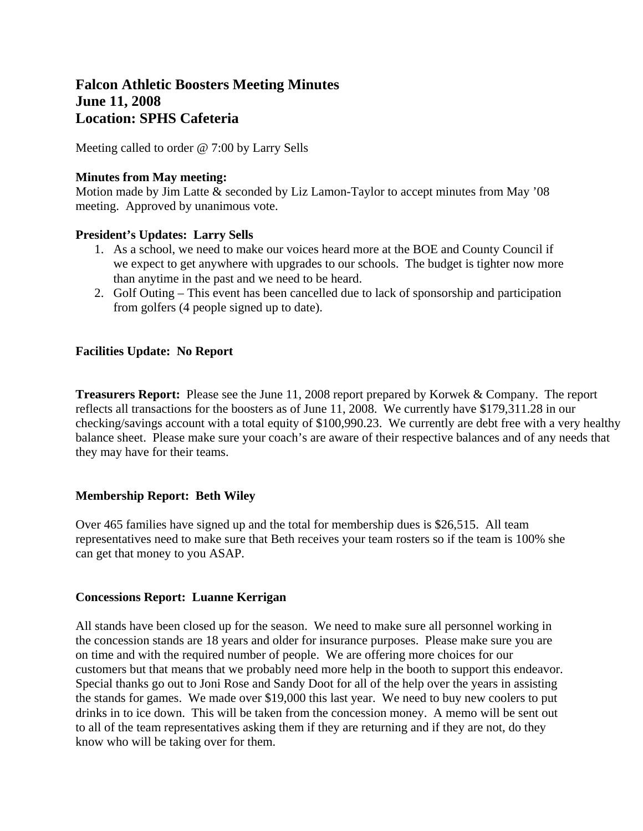# **Falcon Athletic Boosters Meeting Minutes June 11, 2008 Location: SPHS Cafeteria**

Meeting called to order @ 7:00 by Larry Sells

### **Minutes from May meeting:**

Motion made by Jim Latte & seconded by Liz Lamon-Taylor to accept minutes from May '08 meeting. Approved by unanimous vote.

#### **President's Updates: Larry Sells**

- 1. As a school, we need to make our voices heard more at the BOE and County Council if we expect to get anywhere with upgrades to our schools. The budget is tighter now more than anytime in the past and we need to be heard.
- 2. Golf Outing This event has been cancelled due to lack of sponsorship and participation from golfers (4 people signed up to date).

### **Facilities Update: No Report**

**Treasurers Report:** Please see the June 11, 2008 report prepared by Korwek & Company. The report reflects all transactions for the boosters as of June 11, 2008. We currently have \$179,311.28 in our checking/savings account with a total equity of \$100,990.23. We currently are debt free with a very healthy balance sheet. Please make sure your coach's are aware of their respective balances and of any needs that they may have for their teams.

### **Membership Report: Beth Wiley**

Over 465 families have signed up and the total for membership dues is \$26,515. All team representatives need to make sure that Beth receives your team rosters so if the team is 100% she can get that money to you ASAP.

### **Concessions Report: Luanne Kerrigan**

All stands have been closed up for the season. We need to make sure all personnel working in the concession stands are 18 years and older for insurance purposes. Please make sure you are on time and with the required number of people. We are offering more choices for our customers but that means that we probably need more help in the booth to support this endeavor. Special thanks go out to Joni Rose and Sandy Doot for all of the help over the years in assisting the stands for games. We made over \$19,000 this last year. We need to buy new coolers to put drinks in to ice down. This will be taken from the concession money. A memo will be sent out to all of the team representatives asking them if they are returning and if they are not, do they know who will be taking over for them.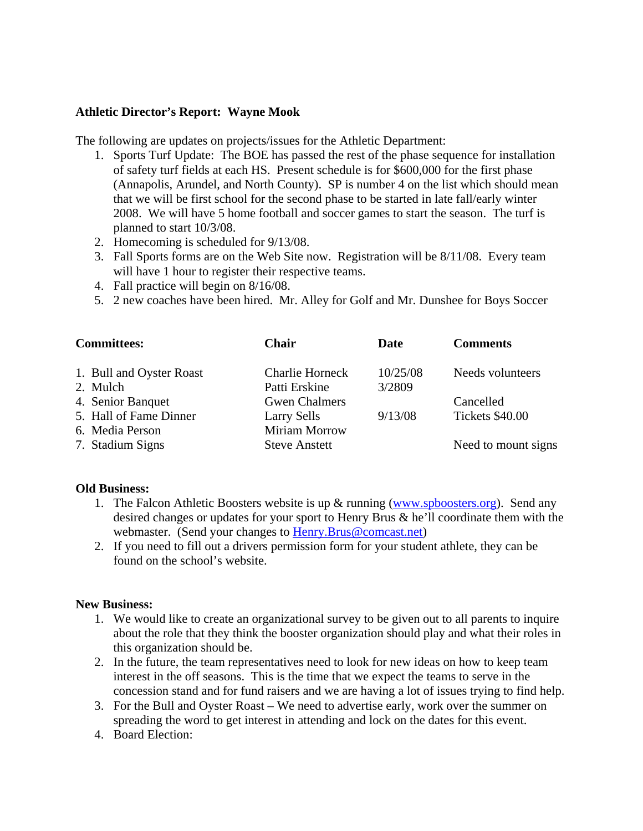#### **Athletic Director's Report: Wayne Mook**

The following are updates on projects/issues for the Athletic Department:

- 1. Sports Turf Update: The BOE has passed the rest of the phase sequence for installation of safety turf fields at each HS. Present schedule is for \$600,000 for the first phase (Annapolis, Arundel, and North County). SP is number 4 on the list which should mean that we will be first school for the second phase to be started in late fall/early winter 2008. We will have 5 home football and soccer games to start the season. The turf is planned to start 10/3/08.
- 2. Homecoming is scheduled for 9/13/08.
- 3. Fall Sports forms are on the Web Site now. Registration will be 8/11/08. Every team will have 1 hour to register their respective teams.
- 4. Fall practice will begin on 8/16/08.
- 5. 2 new coaches have been hired. Mr. Alley for Golf and Mr. Dunshee for Boys Soccer

| <b>Committees:</b>                        | <b>Chair</b>                            | Date               | <b>Comments</b>     |
|-------------------------------------------|-----------------------------------------|--------------------|---------------------|
| 1. Bull and Oyster Roast<br>2. Mulch      | <b>Charlie Horneck</b><br>Patti Erskine | 10/25/08<br>3/2809 | Needs volunteers    |
| 4. Senior Banquet                         | <b>Gwen Chalmers</b>                    |                    | Cancelled           |
| 5. Hall of Fame Dinner<br>6. Media Person | <b>Larry Sells</b><br>Miriam Morrow     | 9/13/08            | Tickets \$40.00     |
| 7. Stadium Signs                          | <b>Steve Anstett</b>                    |                    | Need to mount signs |

#### **Old Business:**

- 1. The Falcon Athletic Boosters website is up  $\&$  running [\(www.spboosters.org\)](http://www.spboosters.org/). Send any desired changes or updates for your sport to Henry Brus & he'll coordinate them with the webmaster. (Send your changes to [Henry.Brus@comcast.net\)](mailto:Henry.Brus@comcast.net)
- 2. If you need to fill out a drivers permission form for your student athlete, they can be found on the school's website.

#### **New Business:**

- 1. We would like to create an organizational survey to be given out to all parents to inquire about the role that they think the booster organization should play and what their roles in this organization should be.
- 2. In the future, the team representatives need to look for new ideas on how to keep team interest in the off seasons. This is the time that we expect the teams to serve in the concession stand and for fund raisers and we are having a lot of issues trying to find help.
- 3. For the Bull and Oyster Roast We need to advertise early, work over the summer on spreading the word to get interest in attending and lock on the dates for this event.
- 4. Board Election: